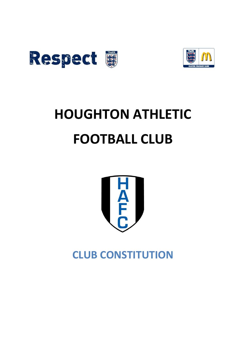



# **HOUGHTON ATHLETIC FOOTBALL CLUB**



**CLUB CONSTITUTION**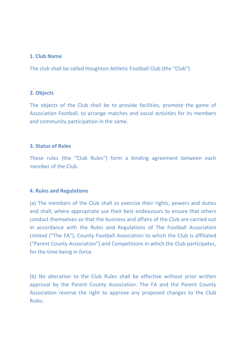## **1. Club Name**

The club shall be called Houghton Athletic Football Club (the "Club")

## **2. Objects**

The objects of the Club shall be to provide facilities, promote the game of Association Football, to arrange matches and social activities for its members and community participation in the same.

## **3. Status of Rules**

These rules (the "Club Rules") form a binding agreement between each member of the Club.

## **4. Rules and Regulations**

(a) The members of the Club shall so exercise their rights, powers and duties and shall, where appropriate use their best endeavours to ensure that others conduct themselves so that the business and affairs of the Club are carried out in accordance with the Rules and Regulations of The Football Association Limited ("The FA"), County Football Association to which the Club is affiliated ("Parent County Association") and Competitions in which the Club participates, for the time being in force.

(b) No alteration to the Club Rules shall be effective without prior written approval by the Parent County Association. The FA and the Parent County Association reserve the right to approve any proposed changes to the Club Rules.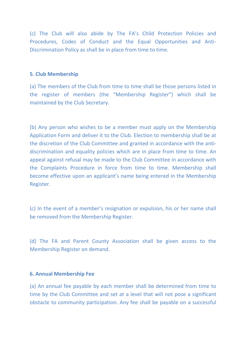(c) The Club will also abide by The FA's Child Protection Policies and Procedures, Codes of Conduct and the Equal Opportunities and Anti-Discrimination Policy as shall be in place from time to time.

## **5. Club Membership**

(a) The members of the Club from time to time shall be those persons listed in the register of members (the "Membership Register") which shall be maintained by the Club Secretary.

(b) Any person who wishes to be a member must apply on the Membership Application Form and deliver it to the Club. Election to membership shall be at the discretion of the Club Committee and granted in accordance with the antidiscrimination and equality policies which are in place from time to time. An appeal against refusal may be made to the Club Committee in accordance with the Complaints Procedure in force from time to time. Membership shall become effective upon an applicant's name being entered in the Membership Register.

(c) In the event of a member's resignation or expulsion, his or her name shall be removed from the Membership Register.

(d) The FA and Parent County Association shall be given access to the Membership Register on demand.

## **6. Annual Membership Fee**

(a) An annual fee payable by each member shall be determined from time to time by the Club Committee and set at a level that will not pose a significant obstacle to community participation. Any fee shall be payable on a successful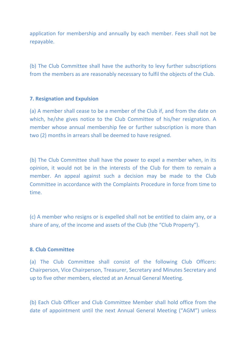application for membership and annually by each member. Fees shall not be repayable.

(b) The Club Committee shall have the authority to levy further subscriptions from the members as are reasonably necessary to fulfil the objects of the Club.

## **7. Resignation and Expulsion**

(a) A member shall cease to be a member of the Club if, and from the date on which, he/she gives notice to the Club Committee of his/her resignation. A member whose annual membership fee or further subscription is more than two (2) months in arrears shall be deemed to have resigned.

(b) The Club Committee shall have the power to expel a member when, in its opinion, it would not be in the interests of the Club for them to remain a member. An appeal against such a decision may be made to the Club Committee in accordance with the Complaints Procedure in force from time to time.

(c) A member who resigns or is expelled shall not be entitled to claim any, or a share of any, of the income and assets of the Club (the "Club Property").

## **8. Club Committee**

(a) The Club Committee shall consist of the following Club Officers: Chairperson, Vice Chairperson, Treasurer, Secretary and Minutes Secretary and up to five other members, elected at an Annual General Meeting.

(b) Each Club Officer and Club Committee Member shall hold office from the date of appointment until the next Annual General Meeting ("AGM") unless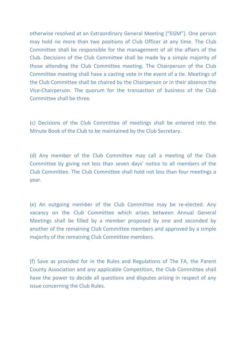otherwise resolved at an Extraordinary General Meeting ("EGM"). One person may hold no more than two positions of Club Officer at any time. The Club Committee shall be responsible for the management of all the affairs of the Club. Decisions of the Club Committee shall be made by a simple majority of those attending the Club Committee meeting. The Chairperson of the Club Committee meeting shall have a casting vote in the event of a tie. Meetings of the Club Committee shall be chaired by the Chairperson or in their absence the Vice-Chairperson. The quorum for the transaction of business of the Club Committee shall be three.

(c) Decisions of the Club Committee of meetings shall be entered into the Minute Book of the Club to be maintained by the Club Secretary.

(d) Any member of the Club Committee may call a meeting of the Club Committee by giving not less than seven days' notice to all members of the Club Committee. The Club Committee shall hold not less than four meetings a year.

(e) An outgoing member of the Club Committee may be re-elected. Any vacancy on the Club Committee which arises between Annual General Meetings shall be filled by a member proposed by one and seconded by another of the remaining Club Committee members and approved by a simple majority of the remaining Club Committee members.

(f) Save as provided for in the Rules and Regulations of The FA, the Parent County Association and any applicable Competition, the Club Committee shall have the power to decide all questions and disputes arising in respect of any issue concerning the Club Rules.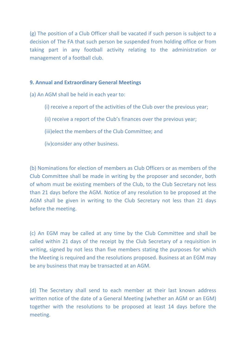(g) The position of a Club Officer shall be vacated if such person is subject to a decision of The FA that such person be suspended from holding office or from taking part in any football activity relating to the administration or management of a football club.

## **9. Annual and Extraordinary General Meetings**

- (a) An AGM shall be held in each year to:
	- (i) receive a report of the activities of the Club over the previous year;
	- (ii) receive a report of the Club's finances over the previous year;
	- (iii)elect the members of the Club Committee; and
	- (iv)consider any other business.

(b) Nominations for election of members as Club Officers or as members of the Club Committee shall be made in writing by the proposer and seconder, both of whom must be existing members of the Club, to the Club Secretary not less than 21 days before the AGM. Notice of any resolution to be proposed at the AGM shall be given in writing to the Club Secretary not less than 21 days before the meeting.

(c) An EGM may be called at any time by the Club Committee and shall be called within 21 days of the receipt by the Club Secretary of a requisition in writing, signed by not less than five members stating the purposes for which the Meeting is required and the resolutions proposed. Business at an EGM may be any business that may be transacted at an AGM.

(d) The Secretary shall send to each member at their last known address written notice of the date of a General Meeting (whether an AGM or an EGM) together with the resolutions to be proposed at least 14 days before the meeting.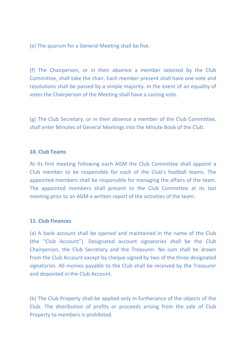(e) The quorum for a General Meeting shall be five.

(f) The Chairperson, or in their absence a member selected by the Club Committee, shall take the chair. Each member present shall have one vote and resolutions shall be passed by a simple majority. In the event of an equality of votes the Chairperson of the Meeting shall have a casting vote.

(g) The Club Secretary, or in their absence a member of the Club Committee, shall enter Minutes of General Meetings into the Minute Book of the Club.

#### **10. Club Teams**

At its first meeting following each AGM the Club Committee shall appoint a Club member to be responsible for each of the Club's football teams. The appointed members shall be responsible for managing the affairs of the team. The appointed members shall present to the Club Committee at its last meeting prior to an AGM a written report of the activities of the team.

## **11. Club Finances**

(a) A bank account shall be opened and maintained in the name of the Club (the "Club Account"). Designated account signatories shall be the Club Chairperson, the Club Secretary and the Treasurer. No sum shall be drawn from the Club Account except by cheque signed by two of the three designated signatories. All monies payable to the Club shall be received by the Treasurer and deposited in the Club Account.

(b) The Club Property shall be applied only in furtherance of the objects of the Club. The distribution of profits or proceeds arising from the sale of Club Property to members is prohibited.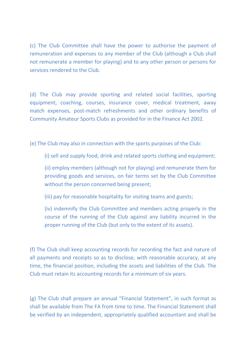(c) The Club Committee shall have the power to authorise the payment of remuneration and expenses to any member of the Club (although a Club shall not remunerate a member for playing) and to any other person or persons for services rendered to the Club.

(d) The Club may provide sporting and related social facilities, sporting equipment, coaching, courses, insurance cover, medical treatment, away match expenses, post-match refreshments and other ordinary benefits of Community Amateur Sports Clubs as provided for in the Finance Act 2002.

(e) The Club may also in connection with the sports purposes of the Club:

(i) sell and supply food, drink and related sports clothing and equipment;

(ii) employ members (although not for playing) and remunerate them for providing goods and services, on fair terms set by the Club Committee without the person concerned being present;

(iii) pay for reasonable hospitality for visiting teams and guests;

(iv) indemnify the Club Committee and members acting properly in the course of the running of the Club against any liability incurred in the proper running of the Club (but only to the extent of its assets).

(f) The Club shall keep accounting records for recording the fact and nature of all payments and receipts so as to disclose, with reasonable accuracy, at any time, the financial position, including the assets and liabilities of the Club. The Club must retain its accounting records for a minimum of six years.

(g) The Club shall prepare an annual "Financial Statement", in such format as shall be available from The FA from time to time. The Financial Statement shall be verified by an independent, appropriately qualified accountant and shall be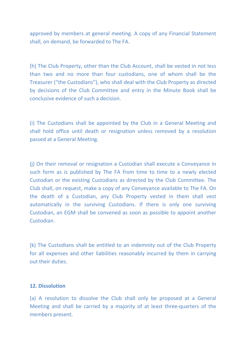approved by members at general meeting. A copy of any Financial Statement shall, on demand, be forwarded to The FA.

(h) The Club Property, other than the Club Account, shall be vested in not less than two and no more than four custodians, one of whom shall be the Treasurer ("the Custodians"), who shall deal with the Club Property as directed by decisions of the Club Committee and entry in the Minute Book shall be conclusive evidence of such a decision.

(i) The Custodians shall be appointed by the Club in a General Meeting and shall hold office until death or resignation unless removed by a resolution passed at a General Meeting.

(j) On their removal or resignation a Custodian shall execute a Conveyance in such form as is published by The FA from time to time to a newly elected Custodian or the existing Custodians as directed by the Club Committee. The Club shall, on request, make a copy of any Conveyance available to The FA. On the death of a Custodian, any Club Property vested in them shall vest automatically in the surviving Custodians. If there is only one surviving Custodian, an EGM shall be convened as soon as possible to appoint another Custodian.

(k) The Custodians shall be entitled to an indemnity out of the Club Property for all expenses and other liabilities reasonably incurred by them in carrying out their duties.

## **12. Dissolution**

(a) A resolution to dissolve the Club shall only be proposed at a General Meeting and shall be carried by a majority of at least three-quarters of the members present.